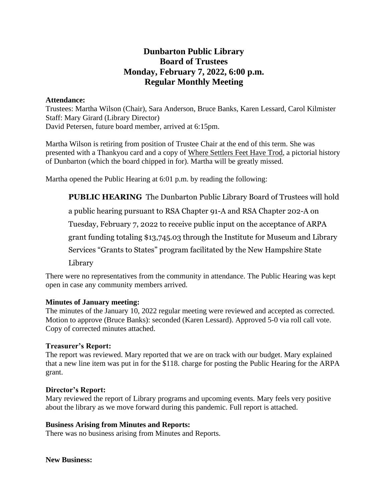# **Dunbarton Public Library Board of Trustees Monday, February 7, 2022, 6:00 p.m. Regular Monthly Meeting**

#### **Attendance:**

Trustees: Martha Wilson (Chair), Sara Anderson, Bruce Banks, Karen Lessard, Carol Kilmister Staff: Mary Girard (Library Director) David Petersen, future board member, arrived at 6:15pm.

Martha Wilson is retiring from position of Trustee Chair at the end of this term. She was presented with a Thankyou card and a copy of Where Settlers Feet Have Trod, a pictorial history of Dunbarton (which the board chipped in for). Martha will be greatly missed.

Martha opened the Public Hearing at 6:01 p.m. by reading the following:

**PUBLIC HEARING** The Dunbarton Public Library Board of Trustees will hold

a public hearing pursuant to RSA Chapter 91-A and RSA Chapter 202-A on

Tuesday, February 7, 2022 to receive public input on the acceptance of ARPA

grant funding totaling \$13,745.03 through the Institute for Museum and Library

Services "Grants to States" program facilitated by the New Hampshire State

Library

There were no representatives from the community in attendance. The Public Hearing was kept open in case any community members arrived.

## **Minutes of January meeting:**

The minutes of the January 10, 2022 regular meeting were reviewed and accepted as corrected. Motion to approve (Bruce Banks): seconded (Karen Lessard). Approved 5-0 via roll call vote. Copy of corrected minutes attached.

## **Treasurer's Report:**

The report was reviewed. Mary reported that we are on track with our budget. Mary explained that a new line item was put in for the \$118. charge for posting the Public Hearing for the ARPA grant.

## **Director's Report:**

Mary reviewed the report of Library programs and upcoming events. Mary feels very positive about the library as we move forward during this pandemic. Full report is attached.

## **Business Arising from Minutes and Reports:**

There was no business arising from Minutes and Reports.

**New Business:**